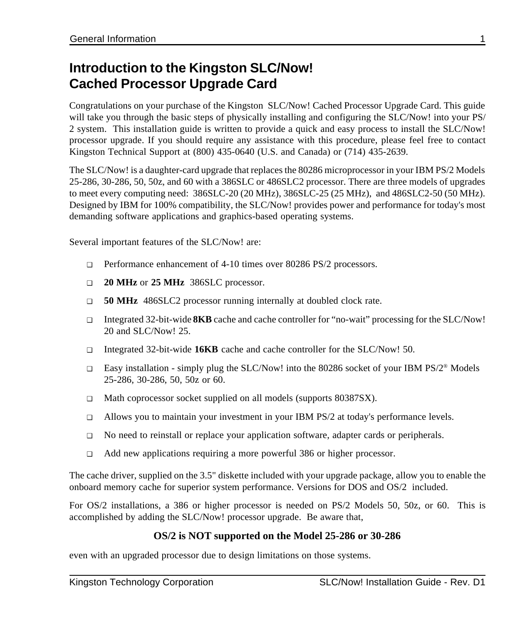### **Introduction to the Kingston SLC/Now! Cached Processor Upgrade Card**

Congratulations on your purchase of the Kingston SLC/Now! Cached Processor Upgrade Card. This guide will take you through the basic steps of physically installing and configuring the SLC/Now! into your PS/ 2 system. This installation guide is written to provide a quick and easy process to install the SLC/Now! processor upgrade. If you should require any assistance with this procedure, please feel free to contact Kingston Technical Support at (800) 435-0640 (U.S. and Canada) or (714) 435-2639.

The SLC/Now! is a daughter-card upgrade that replaces the 80286 microprocessor in your IBM PS/2 Models 25-286, 30-286, 50, 50z, and 60 with a 386SLC or 486SLC2 processor. There are three models of upgrades to meet every computing need: 386SLC-20 (20 MHz), 386SLC-25 (25 MHz), and 486SLC2-50 (50 MHz). Designed by IBM for 100% compatibility, the SLC/Now! provides power and performance for today's most demanding software applications and graphics-based operating systems.

Several important features of the SLC/Now! are:

- ❑ Performance enhancement of 4-10 times over 80286 PS/2 processors.
- ❑ **20 MHz** or **25 MHz** 386SLC processor.
- ❑ **50 MHz** 486SLC2 processor running internally at doubled clock rate.
- ❑ Integrated 32-bit-wide **8KB** cache and cache controller for "no-wait" processing for the SLC/Now! 20 and SLC/Now! 25.
- ❑ Integrated 32-bit-wide **16KB** cache and cache controller for the SLC/Now! 50.
- ❑ Easy installation simply plug the SLC/Now! into the 80286 socket of your IBM PS/2® Models 25-286, 30-286, 50, 50z or 60.
- ❑ Math coprocessor socket supplied on all models (supports 80387SX).
- ❑ Allows you to maintain your investment in your IBM PS/2 at today's performance levels.
- ❑ No need to reinstall or replace your application software, adapter cards or peripherals.
- ❑ Add new applications requiring a more powerful 386 or higher processor.

The cache driver, supplied on the 3.5" diskette included with your upgrade package, allow you to enable the onboard memory cache for superior system performance. Versions for DOS and OS/2 included.

For OS/2 installations, a 386 or higher processor is needed on PS/2 Models 50, 50z, or 60. This is accomplished by adding the SLC/Now! processor upgrade. Be aware that,

#### **OS/2 is NOT supported on the Model 25-286 or 30-286**

even with an upgraded processor due to design limitations on those systems.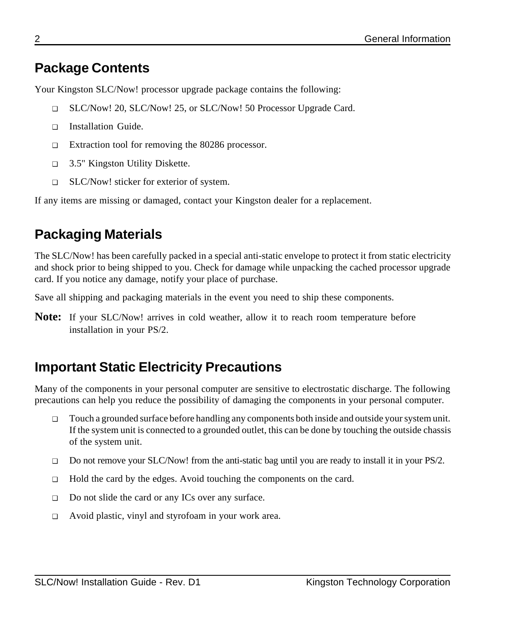## **Package Contents**

Your Kingston SLC/Now! processor upgrade package contains the following:

- ❑ SLC/Now! 20, SLC/Now! 25, or SLC/Now! 50 Processor Upgrade Card.
- ❑ Installation Guide.
- ❑ Extraction tool for removing the 80286 processor.
- ❑ 3.5" Kingston Utility Diskette.
- ❑ SLC/Now! sticker for exterior of system.

If any items are missing or damaged, contact your Kingston dealer for a replacement.

## **Packaging Materials**

The SLC/Now! has been carefully packed in a special anti-static envelope to protect it from static electricity and shock prior to being shipped to you. Check for damage while unpacking the cached processor upgrade card. If you notice any damage, notify your place of purchase.

Save all shipping and packaging materials in the event you need to ship these components.

**Note:** If your SLC/Now! arrives in cold weather, allow it to reach room temperature before installation in your PS/2.

## **Important Static Electricity Precautions**

Many of the components in your personal computer are sensitive to electrostatic discharge. The following precautions can help you reduce the possibility of damaging the components in your personal computer.

- ❑ Touch a grounded surface before handling any components both inside and outside your system unit. If the system unit is connected to a grounded outlet, this can be done by touching the outside chassis of the system unit.
- ❑ Do not remove your SLC/Now! from the anti-static bag until you are ready to install it in your PS/2.
- ❑ Hold the card by the edges. Avoid touching the components on the card.
- ❑ Do not slide the card or any ICs over any surface.
- ❑ Avoid plastic, vinyl and styrofoam in your work area.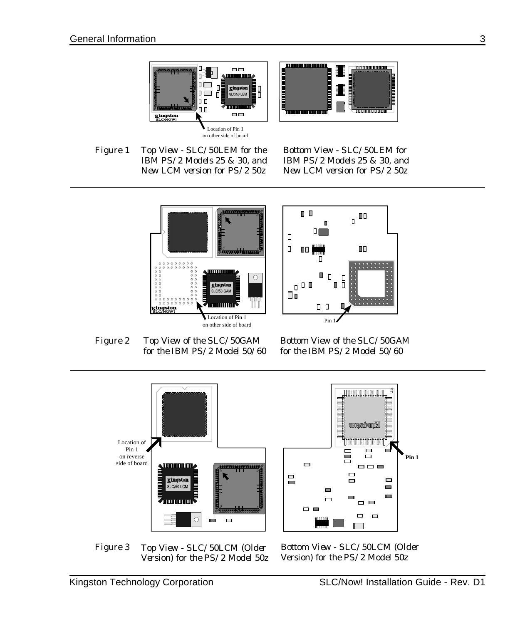



*Figure 1 Top View - SLC/50LEM for the IBM PS/2 Models 25 & 30, and New LCM version for PS/2 50z*

*Bottom View - SLC/50LEM for IBM PS/2 Models 25 & 30, and New LCM version for PS/2 50z*





*Top View of the SLC/50GAM for the IBM PS/2 Model 50/60 Figure 2*

*Bottom View of the SLC/50GAM for the IBM PS/2 Model 50/60*



*Top View - SLC/50LCM (Older Version) for the PS/2 Model 50z Figure 3*

*Bottom View - SLC/50LCM (Older Version) for the PS/2 Model 50z*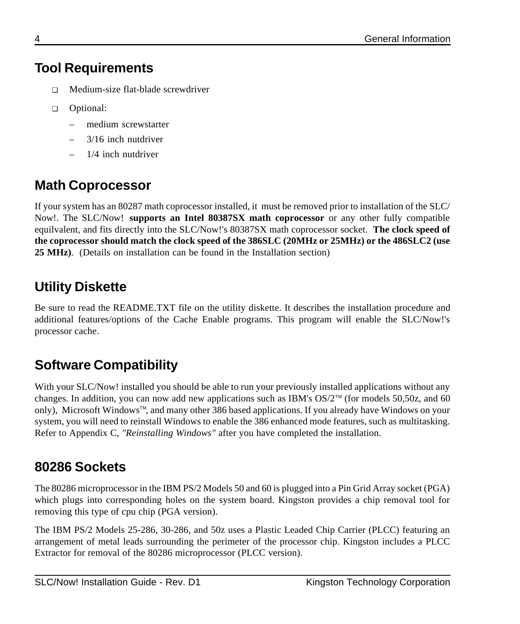## **Tool Requirements**

- ❑ Medium-size flat-blade screwdriver
- ❑ Optional:
	- medium screwstarter
	- 3/16 inch nutdriver
	- 1/4 inch nutdriver

## **Math Coprocessor**

If your system has an 80287 math coprocessor installed, it must be removed prior to installation of the SLC/ Now!. The SLC/Now! **supports an Intel 80387SX math coprocessor** or any other fully compatible equilvalent, and fits directly into the SLC/Now!'s 80387SX math coprocessor socket. **The clock speed of the coprocessor should match the clock speed of the 386SLC (20MHz or 25MHz) or the 486SLC2 (use 25 MHz)**. (Details on installation can be found in the Installation section)

## **Utility Diskette**

Be sure to read the README.TXT file on the utility diskette. It describes the installation procedure and additional features/options of the Cache Enable programs. This program will enable the SLC/Now!'s processor cache.

## **Software Compatibility**

With your SLC/Now! installed you should be able to run your previously installed applications without any changes. In addition, you can now add new applications such as IBM's  $OS/2^m$  (for models 50,50z, and 60 only), Microsoft Windows<sup>TM</sup>, and many other 386 based applications. If you already have Windows on your system, you will need to reinstall Windows to enable the 386 enhanced mode features, such as multitasking. Refer to Appendix C, *"Reinstalling Windows"* after you have completed the installation.

## **80286 Sockets**

The 80286 microprocessor in the IBM PS/2 Models 50 and 60 is plugged into a Pin Grid Array socket (PGA) which plugs into corresponding holes on the system board. Kingston provides a chip removal tool for removing this type of cpu chip (PGA version).

The IBM PS/2 Models 25-286, 30-286, and 50z uses a Plastic Leaded Chip Carrier (PLCC) featuring an arrangement of metal leads surrounding the perimeter of the processor chip. Kingston includes a PLCC Extractor for removal of the 80286 microprocessor (PLCC version).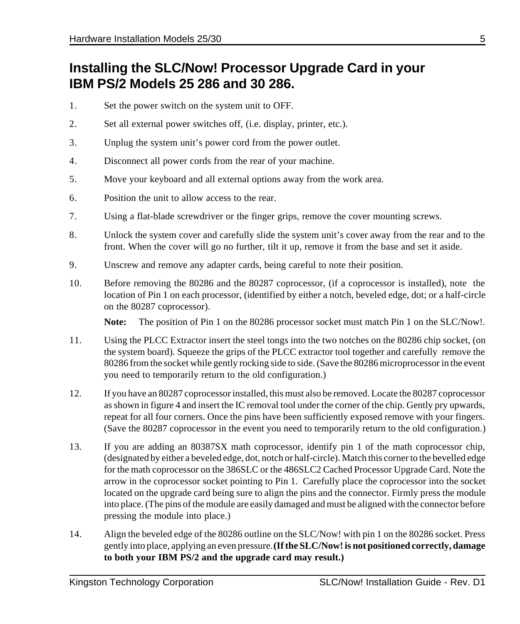### **Installing the SLC/Now! Processor Upgrade Card in your IBM PS/2 Models 25 286 and 30 286.**

- 1. Set the power switch on the system unit to OFF.
- 2. Set all external power switches off, (i.e. display, printer, etc.).
- 3. Unplug the system unit's power cord from the power outlet.
- 4. Disconnect all power cords from the rear of your machine.
- 5. Move your keyboard and all external options away from the work area.
- 6. Position the unit to allow access to the rear.
- 7. Using a flat-blade screwdriver or the finger grips, remove the cover mounting screws.
- 8. Unlock the system cover and carefully slide the system unit's cover away from the rear and to the front. When the cover will go no further, tilt it up, remove it from the base and set it aside.
- 9. Unscrew and remove any adapter cards, being careful to note their position.
- 10. Before removing the 80286 and the 80287 coprocessor, (if a coprocessor is installed), note the location of Pin 1 on each processor, (identified by either a notch, beveled edge, dot; or a half-circle on the 80287 coprocessor).

- 11. Using the PLCC Extractor insert the steel tongs into the two notches on the 80286 chip socket, (on the system board). Squeeze the grips of the PLCC extractor tool together and carefully remove the 80286 from the socket while gently rocking side to side. (Save the 80286 microprocessor in the event you need to temporarily return to the old configuration.)
- 12. If you have an 80287 coprocessor installed, this must also be removed. Locate the 80287 coprocessor as shown in figure 4 and insert the IC removal tool under the corner of the chip. Gently pry upwards, repeat for all four corners. Once the pins have been sufficiently exposed remove with your fingers. (Save the 80287 coprocessor in the event you need to temporarily return to the old configuration.)
- 13. If you are adding an 80387SX math coprocessor, identify pin 1 of the math coprocessor chip, (designated by either a beveled edge, dot, notch or half-circle). Match this corner to the bevelled edge for the math coprocessor on the 386SLC or the 486SLC2 Cached Processor Upgrade Card. Note the arrow in the coprocessor socket pointing to Pin 1. Carefully place the coprocessor into the socket located on the upgrade card being sure to align the pins and the connector. Firmly press the module into place. (The pins of the module are easily damaged and must be aligned with the connector before pressing the module into place.)
- 14. Align the beveled edge of the 80286 outline on the SLC/Now! with pin 1 on the 80286 socket. Press gently into place, applying an even pressure. **(If the SLC/Now! is not positioned correctly, damage to both your IBM PS/2 and the upgrade card may result.)**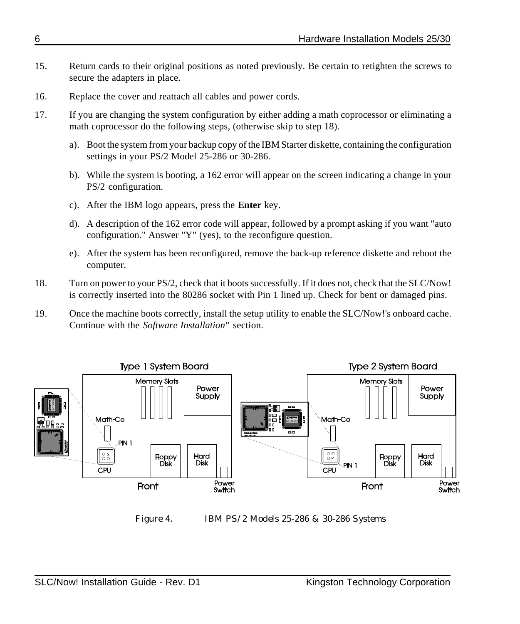- 15. Return cards to their original positions as noted previously. Be certain to retighten the screws to secure the adapters in place.
- 16. Replace the cover and reattach all cables and power cords.
- 17. If you are changing the system configuration by either adding a math coprocessor or eliminating a math coprocessor do the following steps, (otherwise skip to step 18).
	- a). Boot the system from your backup copy of the IBM Starter diskette, containing the configuration settings in your PS/2 Model 25-286 or 30-286.
	- b). While the system is booting, a 162 error will appear on the screen indicating a change in your PS/2 configuration.
	- c). After the IBM logo appears, press the **Enter** key.
	- d). A description of the 162 error code will appear, followed by a prompt asking if you want "auto configuration." Answer "Y" (yes), to the reconfigure question.
	- e). After the system has been reconfigured, remove the back-up reference diskette and reboot the computer.
- 18. Turn on power to your PS/2, check that it boots successfully. If it does not, check that the SLC/Now! is correctly inserted into the 80286 socket with Pin 1 lined up. Check for bent or damaged pins.
- 19. Once the machine boots correctly, install the setup utility to enable the SLC/Now!'s onboard cache. Continue with the *Software Installation"* section.



*Figure 4. IBM PS/2 Models 25-286 & 30-286 Systems*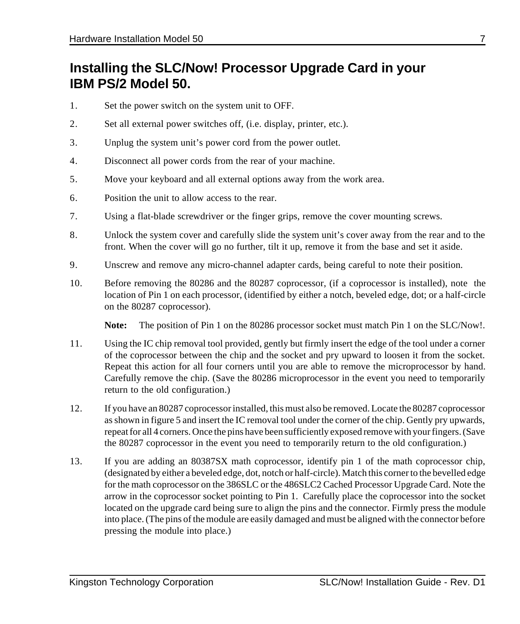## **Installing the SLC/Now! Processor Upgrade Card in your IBM PS/2 Model 50.**

- 1. Set the power switch on the system unit to OFF.
- 2. Set all external power switches off, (i.e. display, printer, etc.).
- 3. Unplug the system unit's power cord from the power outlet.
- 4. Disconnect all power cords from the rear of your machine.
- 5. Move your keyboard and all external options away from the work area.
- 6. Position the unit to allow access to the rear.
- 7. Using a flat-blade screwdriver or the finger grips, remove the cover mounting screws.
- 8. Unlock the system cover and carefully slide the system unit's cover away from the rear and to the front. When the cover will go no further, tilt it up, remove it from the base and set it aside.
- 9. Unscrew and remove any micro-channel adapter cards, being careful to note their position.
- 10. Before removing the 80286 and the 80287 coprocessor, (if a coprocessor is installed), note the location of Pin 1 on each processor, (identified by either a notch, beveled edge, dot; or a half-circle on the 80287 coprocessor).

- 11. Using the IC chip removal tool provided, gently but firmly insert the edge of the tool under a corner of the coprocessor between the chip and the socket and pry upward to loosen it from the socket. Repeat this action for all four corners until you are able to remove the microprocessor by hand. Carefully remove the chip. (Save the 80286 microprocessor in the event you need to temporarily return to the old configuration.)
- 12. If you have an 80287 coprocessor installed, this must also be removed. Locate the 80287 coprocessor as shown in figure 5 and insert the IC removal tool under the corner of the chip. Gently pry upwards, repeat for all 4 corners. Once the pins have been sufficiently exposed remove with your fingers. (Save the 80287 coprocessor in the event you need to temporarily return to the old configuration.)
- 13. If you are adding an 80387SX math coprocessor, identify pin 1 of the math coprocessor chip, (designated by either a beveled edge, dot, notch or half-circle). Match this corner to the bevelled edge for the math coprocessor on the 386SLC or the 486SLC2 Cached Processor Upgrade Card. Note the arrow in the coprocessor socket pointing to Pin 1. Carefully place the coprocessor into the socket located on the upgrade card being sure to align the pins and the connector. Firmly press the module into place. (The pins of the module are easily damaged and must be aligned with the connector before pressing the module into place.)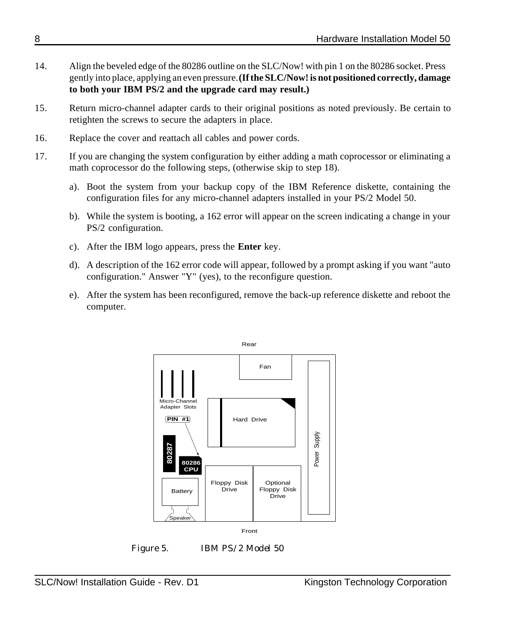- 14. Align the beveled edge of the 80286 outline on the SLC/Now! with pin 1 on the 80286 socket. Press gently into place, applying an even pressure. **(If the SLC/Now! is not positioned correctly, damage to both your IBM PS/2 and the upgrade card may result.)**
- 15. Return micro-channel adapter cards to their original positions as noted previously. Be certain to retighten the screws to secure the adapters in place.
- 16. Replace the cover and reattach all cables and power cords.
- 17. If you are changing the system configuration by either adding a math coprocessor or eliminating a math coprocessor do the following steps, (otherwise skip to step 18).
	- a). Boot the system from your backup copy of the IBM Reference diskette, containing the configuration files for any micro-channel adapters installed in your PS/2 Model 50.
	- b). While the system is booting, a 162 error will appear on the screen indicating a change in your PS/2 configuration.
	- c). After the IBM logo appears, press the **Enter** key.
	- d). A description of the 162 error code will appear, followed by a prompt asking if you want "auto configuration." Answer "Y" (yes), to the reconfigure question.
	- e). After the system has been reconfigured, remove the back-up reference diskette and reboot the computer.



*Figure 5. IBM PS/2 Model 50*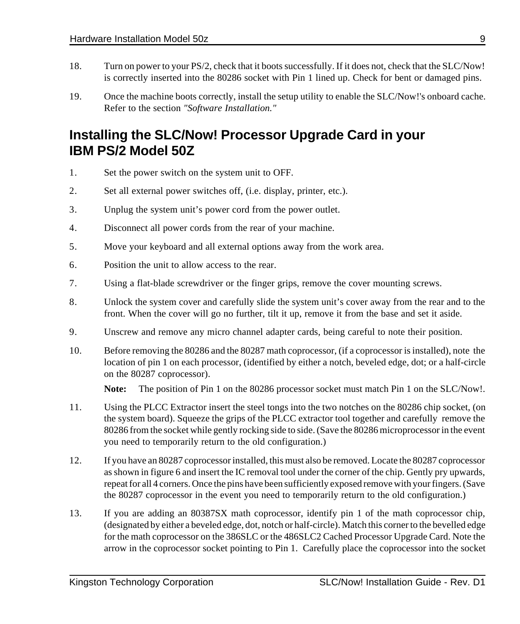- 18. Turn on power to your PS/2, check that it boots successfully. If it does not, check that the SLC/Now! is correctly inserted into the 80286 socket with Pin 1 lined up. Check for bent or damaged pins.
- 19. Once the machine boots correctly, install the setup utility to enable the SLC/Now!'s onboard cache. Refer to the section *"Software Installation."*

## **Installing the SLC/Now! Processor Upgrade Card in your IBM PS/2 Model 50Z**

- 1. Set the power switch on the system unit to OFF.
- 2. Set all external power switches off, (i.e. display, printer, etc.).
- 3. Unplug the system unit's power cord from the power outlet.
- 4. Disconnect all power cords from the rear of your machine.
- 5. Move your keyboard and all external options away from the work area.
- 6. Position the unit to allow access to the rear.
- 7. Using a flat-blade screwdriver or the finger grips, remove the cover mounting screws.
- 8. Unlock the system cover and carefully slide the system unit's cover away from the rear and to the front. When the cover will go no further, tilt it up, remove it from the base and set it aside.
- 9. Unscrew and remove any micro channel adapter cards, being careful to note their position.
- 10. Before removing the 80286 and the 80287 math coprocessor, (if a coprocessor is installed), note the location of pin 1 on each processor, (identified by either a notch, beveled edge, dot; or a half-circle on the 80287 coprocessor).

- 11. Using the PLCC Extractor insert the steel tongs into the two notches on the 80286 chip socket, (on the system board). Squeeze the grips of the PLCC extractor tool together and carefully remove the 80286 from the socket while gently rocking side to side. (Save the 80286 microprocessor in the event you need to temporarily return to the old configuration.)
- 12. If you have an 80287 coprocessor installed, this must also be removed. Locate the 80287 coprocessor as shown in figure 6 and insert the IC removal tool under the corner of the chip. Gently pry upwards, repeat for all 4 corners. Once the pins have been sufficiently exposed remove with your fingers. (Save the 80287 coprocessor in the event you need to temporarily return to the old configuration.)
- 13. If you are adding an 80387SX math coprocessor, identify pin 1 of the math coprocessor chip, (designated by either a beveled edge, dot, notch or half-circle). Match this corner to the bevelled edge for the math coprocessor on the 386SLC or the 486SLC2 Cached Processor Upgrade Card. Note the arrow in the coprocessor socket pointing to Pin 1. Carefully place the coprocessor into the socket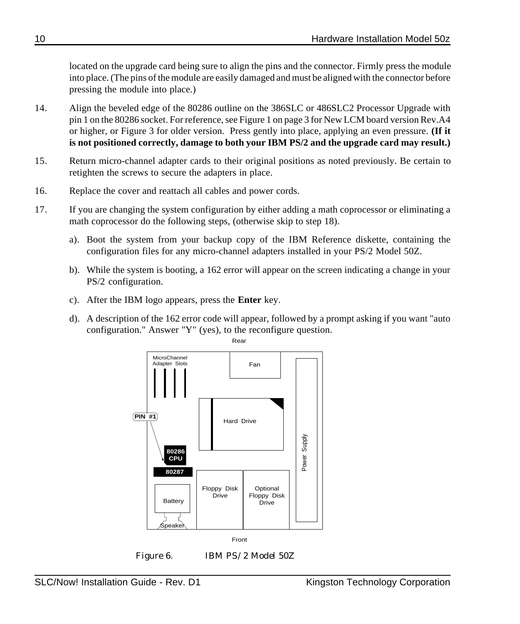located on the upgrade card being sure to align the pins and the connector. Firmly press the module into place. (The pins of the module are easily damaged and must be aligned with the connector before pressing the module into place.)

- 14. Align the beveled edge of the 80286 outline on the 386SLC or 486SLC2 Processor Upgrade with pin 1 on the 80286 socket. For reference, see Figure 1 on page 3 for New LCM board version Rev.A4 or higher, or Figure 3 for older version. Press gently into place, applying an even pressure. **(If it is not positioned correctly, damage to both your IBM PS/2 and the upgrade card may result.)**
- 15. Return micro-channel adapter cards to their original positions as noted previously. Be certain to retighten the screws to secure the adapters in place.
- 16. Replace the cover and reattach all cables and power cords.
- 17. If you are changing the system configuration by either adding a math coprocessor or eliminating a math coprocessor do the following steps, (otherwise skip to step 18).
	- a). Boot the system from your backup copy of the IBM Reference diskette, containing the configuration files for any micro-channel adapters installed in your PS/2 Model 50Z.
	- b). While the system is booting, a 162 error will appear on the screen indicating a change in your PS/2 configuration.
	- c). After the IBM logo appears, press the **Enter** key.
	- d). A description of the 162 error code will appear, followed by a prompt asking if you want "auto configuration." Answer "Y" (yes), to the reconfigure question.



*Figure 6. IBM PS/2 Model 50Z*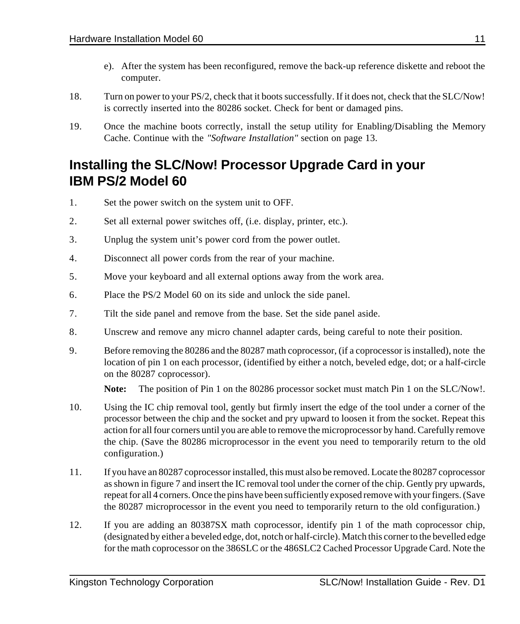- e). After the system has been reconfigured, remove the back-up reference diskette and reboot the computer.
- 18. Turn on power to your PS/2, check that it boots successfully. If it does not, check that the SLC/Now! is correctly inserted into the 80286 socket. Check for bent or damaged pins.
- 19. Once the machine boots correctly, install the setup utility for Enabling/Disabling the Memory Cache. Continue with the *"Software Installation"* section on page 13.

### **Installing the SLC/Now! Processor Upgrade Card in your IBM PS/2 Model 60**

- 1. Set the power switch on the system unit to OFF.
- 2. Set all external power switches off, (i.e. display, printer, etc.).
- 3. Unplug the system unit's power cord from the power outlet.
- 4. Disconnect all power cords from the rear of your machine.
- 5. Move your keyboard and all external options away from the work area.
- 6. Place the PS/2 Model 60 on its side and unlock the side panel.
- 7. Tilt the side panel and remove from the base. Set the side panel aside.
- 8. Unscrew and remove any micro channel adapter cards, being careful to note their position.
- 9. Before removing the 80286 and the 80287 math coprocessor, (if a coprocessor is installed), note the location of pin 1 on each processor, (identified by either a notch, beveled edge, dot; or a half-circle on the 80287 coprocessor).

- 10. Using the IC chip removal tool, gently but firmly insert the edge of the tool under a corner of the processor between the chip and the socket and pry upward to loosen it from the socket. Repeat this action for all four corners until you are able to remove the microprocessor by hand. Carefully remove the chip. (Save the 80286 microprocessor in the event you need to temporarily return to the old configuration.)
- 11. If you have an 80287 coprocessor installed, this must also be removed. Locate the 80287 coprocessor as shown in figure 7 and insert the IC removal tool under the corner of the chip. Gently pry upwards, repeat for all 4 corners. Once the pins have been sufficiently exposed remove with your fingers. (Save the 80287 microprocessor in the event you need to temporarily return to the old configuration.)
- 12. If you are adding an 80387SX math coprocessor, identify pin 1 of the math coprocessor chip, (designated by either a beveled edge, dot, notch or half-circle). Match this corner to the bevelled edge for the math coprocessor on the 386SLC or the 486SLC2 Cached Processor Upgrade Card. Note the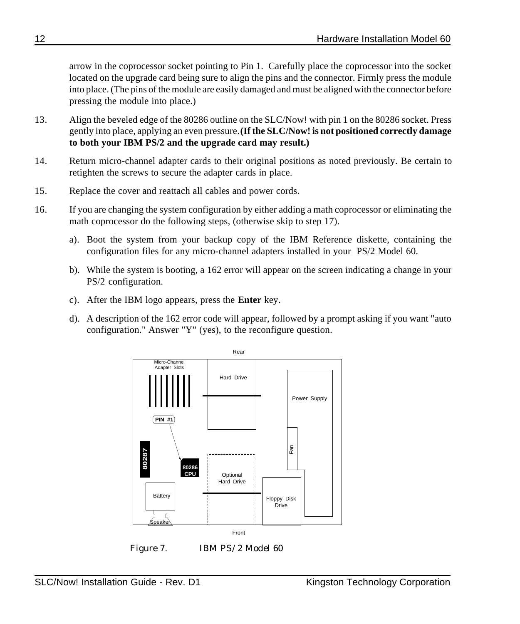arrow in the coprocessor socket pointing to Pin 1. Carefully place the coprocessor into the socket located on the upgrade card being sure to align the pins and the connector. Firmly press the module into place. (The pins of the module are easily damaged and must be aligned with the connector before pressing the module into place.)

- 13. Align the beveled edge of the 80286 outline on the SLC/Now! with pin 1 on the 80286 socket. Press gently into place, applying an even pressure. **(If the SLC/Now! is not positioned correctly damage to both your IBM PS/2 and the upgrade card may result.)**
- 14. Return micro-channel adapter cards to their original positions as noted previously. Be certain to retighten the screws to secure the adapter cards in place.
- 15. Replace the cover and reattach all cables and power cords.
- 16. If you are changing the system configuration by either adding a math coprocessor or eliminating the math coprocessor do the following steps, (otherwise skip to step 17).
	- a). Boot the system from your backup copy of the IBM Reference diskette, containing the configuration files for any micro-channel adapters installed in your PS/2 Model 60.
	- b). While the system is booting, a 162 error will appear on the screen indicating a change in your PS/2 configuration.
	- c). After the IBM logo appears, press the **Enter** key.
	- d). A description of the 162 error code will appear, followed by a prompt asking if you want "auto configuration." Answer "Y" (yes), to the reconfigure question.



*Figure 7. IBM PS/2 Model 60*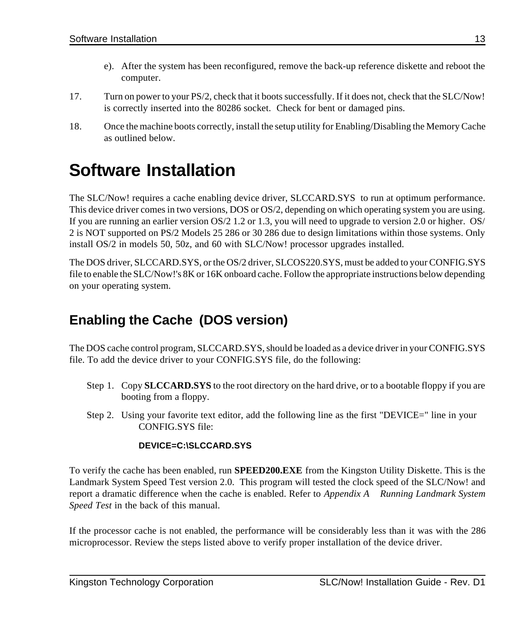- e). After the system has been reconfigured, remove the back-up reference diskette and reboot the computer.
- 17. Turn on power to your PS/2, check that it boots successfully. If it does not, check that the SLC/Now! is correctly inserted into the 80286 socket. Check for bent or damaged pins.
- 18. Once the machine boots correctly, install the setup utility for Enabling/Disabling the Memory Cache as outlined below.

## **Software Installation**

The SLC/Now! requires a cache enabling device driver, SLCCARD.SYS to run at optimum performance. This device driver comes in two versions, DOS or OS/2, depending on which operating system you are using. If you are running an earlier version OS/2 1.2 or 1.3, you will need to upgrade to version 2.0 or higher. OS/ 2 is NOT supported on PS/2 Models 25 286 or 30 286 due to design limitations within those systems. Only install OS/2 in models 50, 50z, and 60 with SLC/Now! processor upgrades installed.

The DOS driver, SLCCARD.SYS, or the OS/2 driver, SLCOS220.SYS, must be added to your CONFIG.SYS file to enable the SLC/Now!'s 8K or 16K onboard cache. Follow the appropriate instructions below depending on your operating system.

## **Enabling the Cache (DOS version)**

The DOS cache control program, SLCCARD.SYS, should be loaded as a device driver in your CONFIG.SYS file. To add the device driver to your CONFIG.SYS file, do the following:

- Step 1. Copy **SLCCARD.SYS** to the root directory on the hard drive, or to a bootable floppy if you are booting from a floppy.
- Step 2. Using your favorite text editor, add the following line as the first "DEVICE=" line in your CONFIG.SYS file:

#### **DEVICE=C:\SLCCARD.SYS**

To verify the cache has been enabled, run **SPEED200.EXE** from the Kingston Utility Diskette. This is the Landmark System Speed Test version 2.0. This program will tested the clock speed of the SLC/Now! and report a dramatic difference when the cache is enabled. Refer to *Appendix A Running Landmark System Speed Test* in the back of this manual.

If the processor cache is not enabled, the performance will be considerably less than it was with the 286 microprocessor. Review the steps listed above to verify proper installation of the device driver.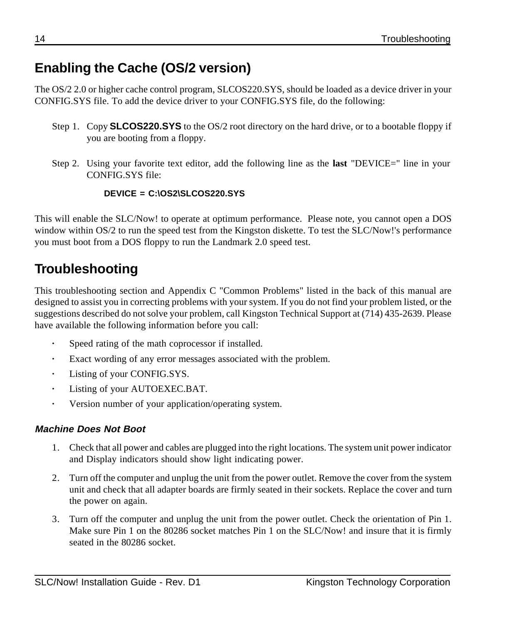## **Enabling the Cache (OS/2 version)**

The OS/2 2.0 or higher cache control program, SLCOS220.SYS, should be loaded as a device driver in your CONFIG.SYS file. To add the device driver to your CONFIG.SYS file, do the following:

- Step 1. Copy **SLCOS220.SYS** to the OS/2 root directory on the hard drive, or to a bootable floppy if you are booting from a floppy.
- Step 2. Using your favorite text editor, add the following line as the **last** "DEVICE=" line in your CONFIG.SYS file:

#### **DEVICE = C:\OS2\SLCOS220.SYS**

This will enable the SLC/Now! to operate at optimum performance. Please note, you cannot open a DOS window within OS/2 to run the speed test from the Kingston diskette. To test the SLC/Now!'s performance you must boot from a DOS floppy to run the Landmark 2.0 speed test.

## **Troubleshooting**

This troubleshooting section and Appendix C "Common Problems" listed in the back of this manual are designed to assist you in correcting problems with your system. If you do not find your problem listed, or the suggestions described do not solve your problem, call Kingston Technical Support at (714) 435-2639. Please have available the following information before you call:

- **·** Speed rating of the math coprocessor if installed.
- **·** Exact wording of any error messages associated with the problem.
- **·** Listing of your CONFIG.SYS.
- **·** Listing of your AUTOEXEC.BAT.
- **·** Version number of your application/operating system.

#### **Machine Does Not Boot**

- 1. Check that all power and cables are plugged into the right locations. The system unit power indicator and Display indicators should show light indicating power.
- 2. Turn off the computer and unplug the unit from the power outlet. Remove the cover from the system unit and check that all adapter boards are firmly seated in their sockets. Replace the cover and turn the power on again.
- 3. Turn off the computer and unplug the unit from the power outlet. Check the orientation of Pin 1. Make sure Pin 1 on the 80286 socket matches Pin 1 on the SLC/Now! and insure that it is firmly seated in the 80286 socket.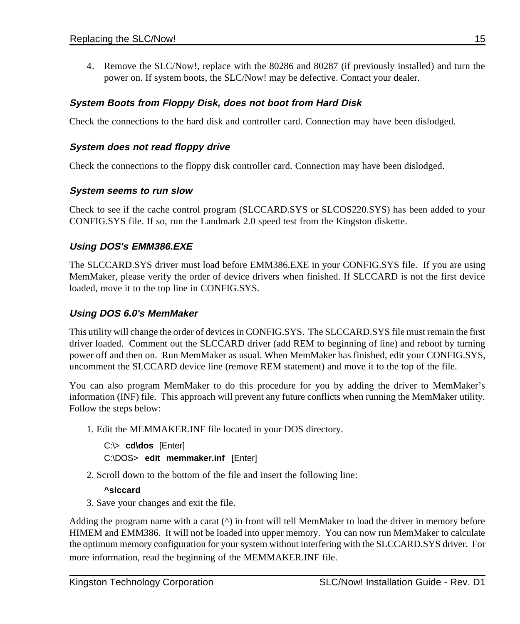4. Remove the SLC/Now!, replace with the 80286 and 80287 (if previously installed) and turn the power on. If system boots, the SLC/Now! may be defective. Contact your dealer.

#### **System Boots from Floppy Disk, does not boot from Hard Disk**

Check the connections to the hard disk and controller card. Connection may have been dislodged.

#### **System does not read floppy drive**

Check the connections to the floppy disk controller card. Connection may have been dislodged.

#### **System seems to run slow**

Check to see if the cache control program (SLCCARD.SYS or SLCOS220.SYS) has been added to your CONFIG.SYS file. If so, run the Landmark 2.0 speed test from the Kingston diskette.

#### **Using DOS's EMM386.EXE**

The SLCCARD.SYS driver must load before EMM386.EXE in your CONFIG.SYS file. If you are using MemMaker, please verify the order of device drivers when finished. If SLCCARD is not the first device loaded, move it to the top line in CONFIG.SYS.

#### **Using DOS 6.0's MemMaker**

This utility will change the order of devices in CONFIG.SYS. The SLCCARD.SYS file must remain the first driver loaded. Comment out the SLCCARD driver (add REM to beginning of line) and reboot by turning power off and then on. Run MemMaker as usual. When MemMaker has finished, edit your CONFIG.SYS, uncomment the SLCCARD device line (remove REM statement) and move it to the top of the file.

You can also program MemMaker to do this procedure for you by adding the driver to MemMaker's information (INF) file. This approach will prevent any future conflicts when running the MemMaker utility. Follow the steps below:

1. Edit the MEMMAKER.INF file located in your DOS directory.

```
C:\> cd\dos [Enter]
C:\DOS> edit memmaker.inf [Enter]
```
2. Scroll down to the bottom of the file and insert the following line:

#### **^slccard**

3. Save your changes and exit the file.

Adding the program name with a carat (^) in front will tell MemMaker to load the driver in memory before HIMEM and EMM386. It will not be loaded into upper memory. You can now run MemMaker to calculate the optimum memory configuration for your system without interfering with the SLCCARD.SYS driver. For more information, read the beginning of the MEMMAKER.INF file.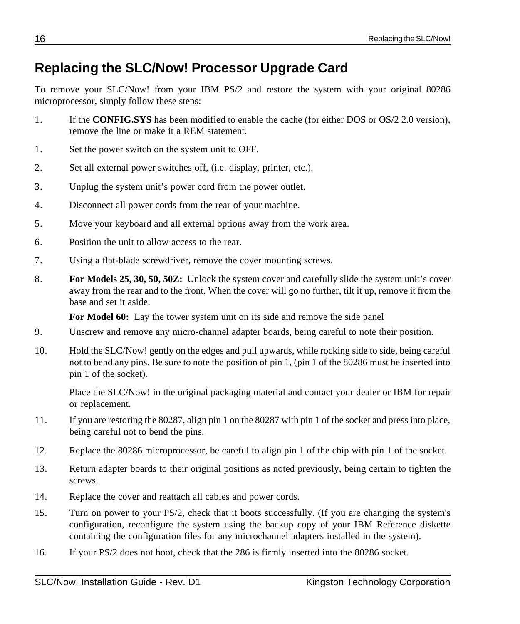## **Replacing the SLC/Now! Processor Upgrade Card**

To remove your SLC/Now! from your IBM PS/2 and restore the system with your original 80286 microprocessor, simply follow these steps:

- 1. If the **CONFIG.SYS** has been modified to enable the cache (for either DOS or OS/2 2.0 version), remove the line or make it a REM statement.
- 1. Set the power switch on the system unit to OFF.
- 2. Set all external power switches off, (i.e. display, printer, etc.).
- 3. Unplug the system unit's power cord from the power outlet.
- 4. Disconnect all power cords from the rear of your machine.
- 5. Move your keyboard and all external options away from the work area.
- 6. Position the unit to allow access to the rear.
- 7. Using a flat-blade screwdriver, remove the cover mounting screws.
- 8. **For Models 25, 30, 50, 50Z:** Unlock the system cover and carefully slide the system unit's cover away from the rear and to the front. When the cover will go no further, tilt it up, remove it from the base and set it aside.

For Model 60: Lay the tower system unit on its side and remove the side panel

- 9. Unscrew and remove any micro-channel adapter boards, being careful to note their position.
- 10. Hold the SLC/Now! gently on the edges and pull upwards, while rocking side to side, being careful not to bend any pins. Be sure to note the position of pin 1, (pin 1 of the 80286 must be inserted into pin 1 of the socket).

Place the SLC/Now! in the original packaging material and contact your dealer or IBM for repair or replacement.

- 11. If you are restoring the 80287, align pin 1 on the 80287 with pin 1 of the socket and press into place, being careful not to bend the pins.
- 12. Replace the 80286 microprocessor, be careful to align pin 1 of the chip with pin 1 of the socket.
- 13. Return adapter boards to their original positions as noted previously, being certain to tighten the screws.
- 14. Replace the cover and reattach all cables and power cords.
- 15. Turn on power to your PS/2, check that it boots successfully. (If you are changing the system's configuration, reconfigure the system using the backup copy of your IBM Reference diskette containing the configuration files for any microchannel adapters installed in the system).
- 16. If your PS/2 does not boot, check that the 286 is firmly inserted into the 80286 socket.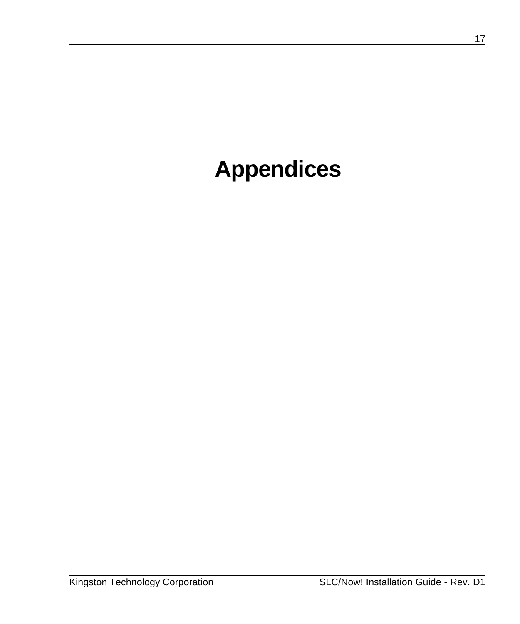# **Appendices**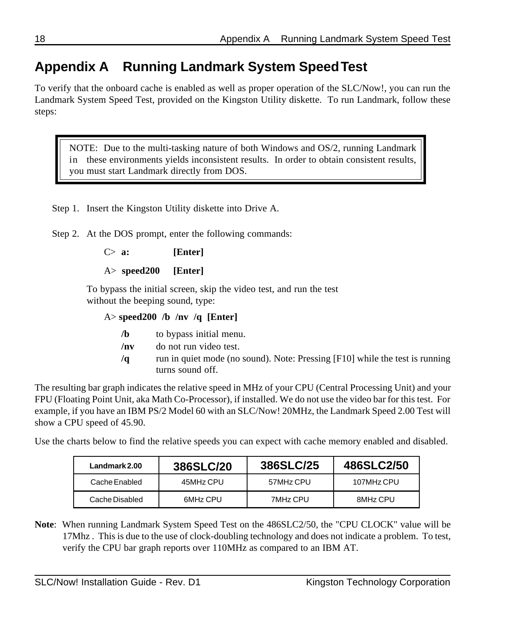## **Appendix A Running Landmark System Speed Test**

To verify that the onboard cache is enabled as well as proper operation of the SLC/Now!, you can run the Landmark System Speed Test, provided on the Kingston Utility diskette. To run Landmark, follow these steps:

NOTE: Due to the multi-tasking nature of both Windows and OS/2, running Landmark in these environments yields inconsistent results. In order to obtain consistent results, you must start Landmark directly from DOS.

Step 1. Insert the Kingston Utility diskette into Drive A.

Step 2. At the DOS prompt, enter the following commands:

C> **a: [Enter]**

A> **speed200 [Enter]**

To bypass the initial screen, skip the video test, and run the test without the beeping sound, type:

#### A> **speed200 /b /nv /q [Enter]**

- **/b** to bypass initial menu.
- **/nv** do not run video test.
- **/q** run in quiet mode (no sound). Note: Pressing [F10] while the test is running turns sound off.

The resulting bar graph indicates the relative speed in MHz of your CPU (Central Processing Unit) and your FPU (Floating Point Unit, aka Math Co-Processor), if installed. We do not use the video bar for this test. For example, if you have an IBM PS/2 Model 60 with an SLC/Now! 20MHz, the Landmark Speed 2.00 Test will show a CPU speed of 45.90.

Use the charts below to find the relative speeds you can expect with cache memory enabled and disabled.

| Landmark 2.00  | 386SLC/20 | 386SLC/25 | 486SLC2/50 |
|----------------|-----------|-----------|------------|
| Cache Enabled  | 45MHz CPU | 57MHz CPU | 107MHz CPU |
| Cache Disabled | 6MHz CPU  | 7MHz CPU  | 8MHz CPU   |

**Note**: When running Landmark System Speed Test on the 486SLC2/50, the "CPU CLOCK" value will be 17Mhz . This is due to the use of clock-doubling technology and does not indicate a problem. To test, verify the CPU bar graph reports over 110MHz as compared to an IBM AT.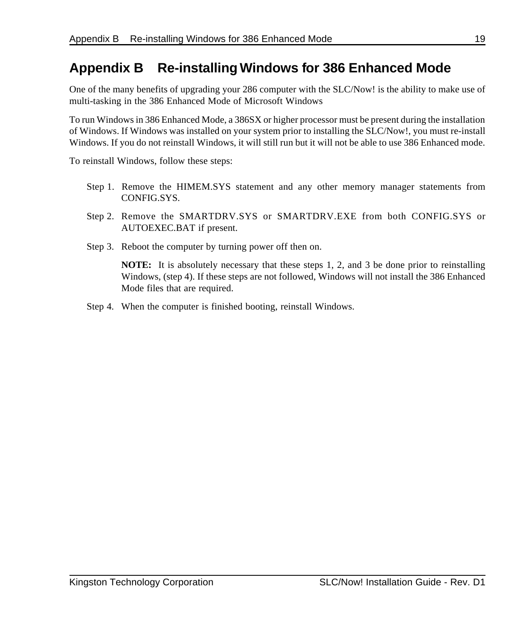### **Appendix B Re-installing Windows for 386 Enhanced Mode**

One of the many benefits of upgrading your 286 computer with the SLC/Now! is the ability to make use of multi-tasking in the 386 Enhanced Mode of Microsoft Windows

To run Windows in 386 Enhanced Mode, a 386SX or higher processor must be present during the installation of Windows. If Windows was installed on your system prior to installing the SLC/Now!, you must re-install Windows. If you do not reinstall Windows, it will still run but it will not be able to use 386 Enhanced mode.

To reinstall Windows, follow these steps:

- Step 1. Remove the HIMEM.SYS statement and any other memory manager statements from CONFIG.SYS.
- Step 2. Remove the SMARTDRV.SYS or SMARTDRV.EXE from both CONFIG.SYS or AUTOEXEC.BAT if present.
- Step 3. Reboot the computer by turning power off then on.

**NOTE:** It is absolutely necessary that these steps 1, 2, and 3 be done prior to reinstalling Windows, (step 4). If these steps are not followed, Windows will not install the 386 Enhanced Mode files that are required.

Step 4. When the computer is finished booting, reinstall Windows.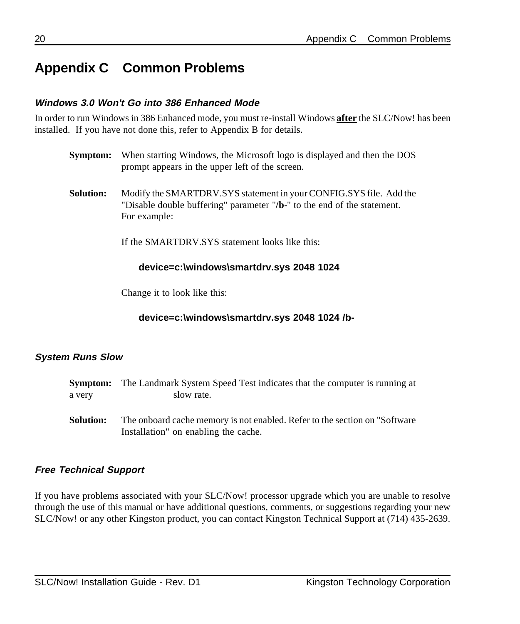## **Appendix C Common Problems**

#### **Windows 3.0 Won't Go into 386 Enhanced Mode**

In order to run Windows in 386 Enhanced mode, you must re-install Windows **after** the SLC/Now! has been installed. If you have not done this, refer to Appendix B for details.

- **Symptom:** When starting Windows, the Microsoft logo is displayed and then the DOS prompt appears in the upper left of the screen.
- **Solution:** Modify the SMARTDRV.SYS statement in your CONFIG.SYS file. Add the "Disable double buffering" parameter "**/b-**" to the end of the statement. For example:

If the SMARTDRV.SYS statement looks like this:

#### **device=c:\windows\smartdrv.sys 2048 1024**

Change it to look like this:

**device=c:\windows\smartdrv.sys 2048 1024 /b-**

#### **System Runs Slow**

|           | <b>Symptom:</b> The Landmark System Speed Test indicates that the computer is running at                            |
|-----------|---------------------------------------------------------------------------------------------------------------------|
| a very    | slow rate.                                                                                                          |
| Solution: | The onboard cache memory is not enabled. Refer to the section on "Software"<br>Installation" on enabling the cache. |

#### **Free Technical Support**

If you have problems associated with your SLC/Now! processor upgrade which you are unable to resolve through the use of this manual or have additional questions, comments, or suggestions regarding your new SLC/Now! or any other Kingston product, you can contact Kingston Technical Support at (714) 435-2639.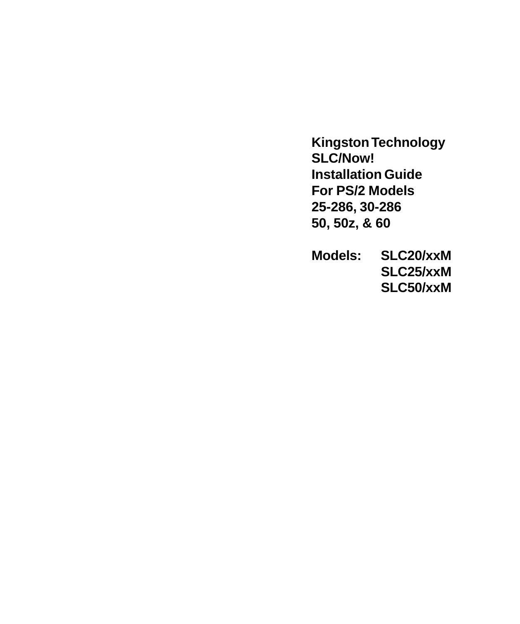**Kingston Technology SLC/Now! Installation Guide For PS/2 Models 25-286, 30-286 50, 50z, & 60**

**Models: SLC20/xxM SLC25/xxM SLC50/xxM**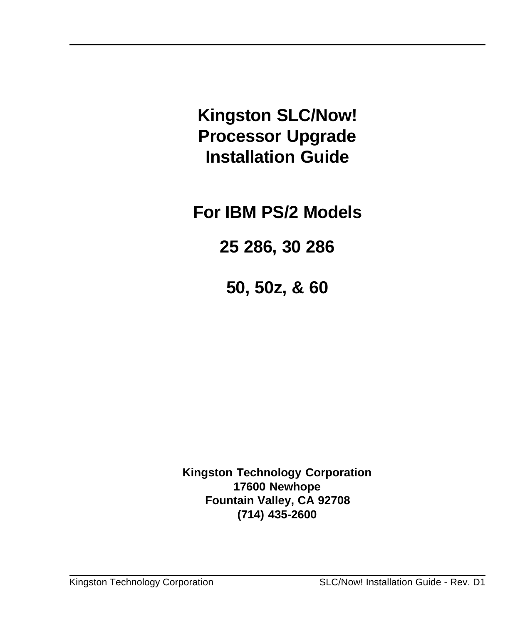**Kingston SLC/Now! Processor Upgrade Installation Guide**

**For IBM PS/2 Models**

**25 286, 30 286**

**50, 50z, & 60**

**Kingston Technology Corporation 17600 Newhope Fountain Valley, CA 92708 (714) 435-2600**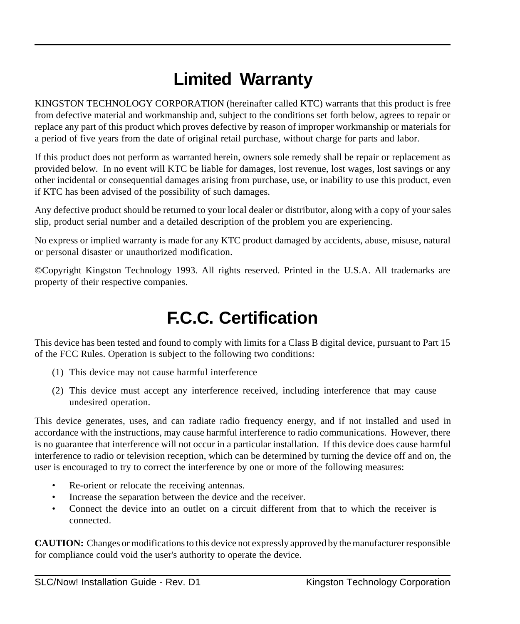## **Limited Warranty**

KINGSTON TECHNOLOGY CORPORATION (hereinafter called KTC) warrants that this product is free from defective material and workmanship and, subject to the conditions set forth below, agrees to repair or replace any part of this product which proves defective by reason of improper workmanship or materials for a period of five years from the date of original retail purchase, without charge for parts and labor.

If this product does not perform as warranted herein, owners sole remedy shall be repair or replacement as provided below. In no event will KTC be liable for damages, lost revenue, lost wages, lost savings or any other incidental or consequential damages arising from purchase, use, or inability to use this product, even if KTC has been advised of the possibility of such damages.

Any defective product should be returned to your local dealer or distributor, along with a copy of your sales slip, product serial number and a detailed description of the problem you are experiencing.

No express or implied warranty is made for any KTC product damaged by accidents, abuse, misuse, natural or personal disaster or unauthorized modification.

©Copyright Kingston Technology 1993. All rights reserved. Printed in the U.S.A. All trademarks are property of their respective companies.

## **F.C.C. Certification**

This device has been tested and found to comply with limits for a Class B digital device, pursuant to Part 15 of the FCC Rules. Operation is subject to the following two conditions:

- (1) This device may not cause harmful interference
- (2) This device must accept any interference received, including interference that may cause undesired operation.

This device generates, uses, and can radiate radio frequency energy, and if not installed and used in accordance with the instructions, may cause harmful interference to radio communications. However, there is no guarantee that interference will not occur in a particular installation. If this device does cause harmful interference to radio or television reception, which can be determined by turning the device off and on, the user is encouraged to try to correct the interference by one or more of the following measures:

- Re-orient or relocate the receiving antennas.
- Increase the separation between the device and the receiver.
- Connect the device into an outlet on a circuit different from that to which the receiver is connected.

**CAUTION:** Changes or modifications to this device not expressly approved by the manufacturer responsible for compliance could void the user's authority to operate the device.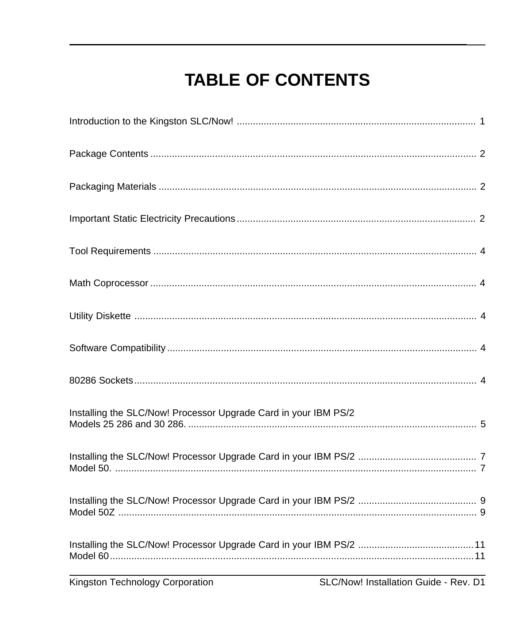## **TABLE OF CONTENTS**

| Installing the SLC/Now! Processor Upgrade Card in your IBM PS/2 |  |
|-----------------------------------------------------------------|--|
|                                                                 |  |
|                                                                 |  |
|                                                                 |  |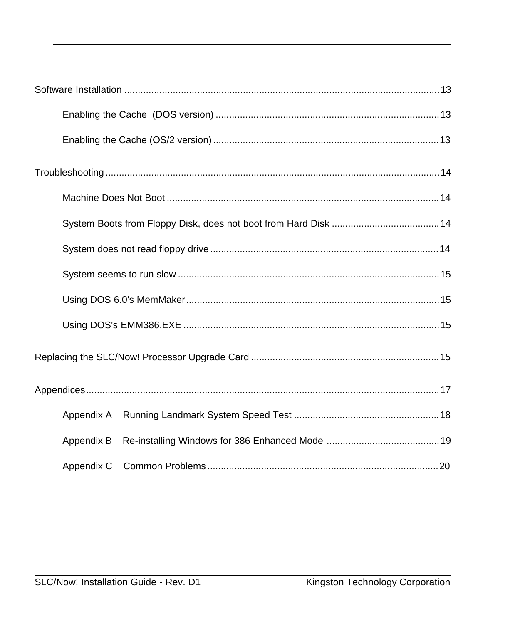| Appendix A |  |
|------------|--|
| Appendix B |  |
|            |  |